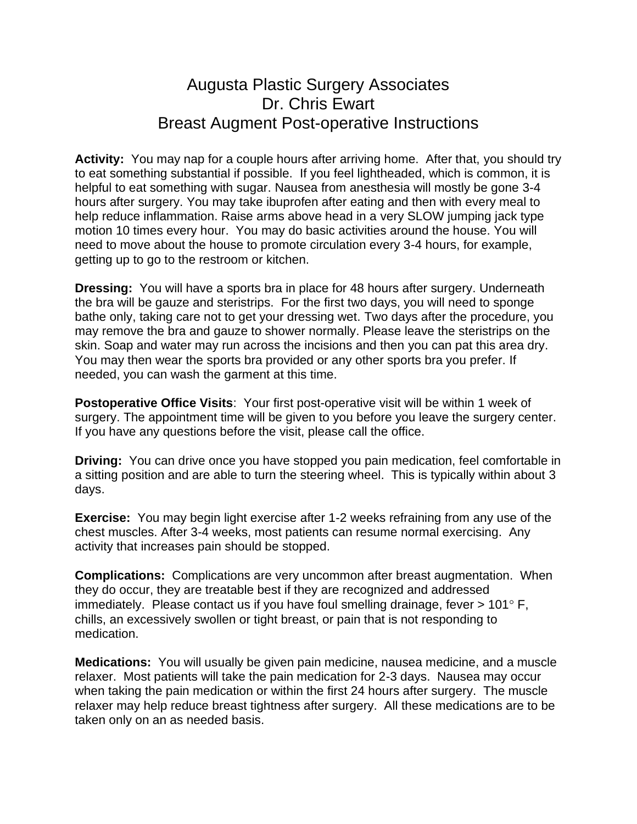## Augusta Plastic Surgery Associates Dr. Chris Ewart Breast Augment Post-operative Instructions

**Activity:** You may nap for a couple hours after arriving home. After that, you should try to eat something substantial if possible. If you feel lightheaded, which is common, it is helpful to eat something with sugar. Nausea from anesthesia will mostly be gone 3-4 hours after surgery. You may take ibuprofen after eating and then with every meal to help reduce inflammation. Raise arms above head in a very SLOW jumping jack type motion 10 times every hour. You may do basic activities around the house. You will need to move about the house to promote circulation every 3-4 hours, for example, getting up to go to the restroom or kitchen.

**Dressing:** You will have a sports bra in place for 48 hours after surgery. Underneath the bra will be gauze and steristrips. For the first two days, you will need to sponge bathe only, taking care not to get your dressing wet. Two days after the procedure, you may remove the bra and gauze to shower normally. Please leave the steristrips on the skin. Soap and water may run across the incisions and then you can pat this area dry. You may then wear the sports bra provided or any other sports bra you prefer. If needed, you can wash the garment at this time.

**Postoperative Office Visits**: Your first post-operative visit will be within 1 week of surgery. The appointment time will be given to you before you leave the surgery center. If you have any questions before the visit, please call the office.

**Driving:** You can drive once you have stopped you pain medication, feel comfortable in a sitting position and are able to turn the steering wheel. This is typically within about 3 days.

**Exercise:** You may begin light exercise after 1-2 weeks refraining from any use of the chest muscles. After 3-4 weeks, most patients can resume normal exercising. Any activity that increases pain should be stopped.

**Complications:** Complications are very uncommon after breast augmentation. When they do occur, they are treatable best if they are recognized and addressed immediately. Please contact us if you have foul smelling drainage, fever  $> 101^{\circ}$  F, chills, an excessively swollen or tight breast, or pain that is not responding to medication.

**Medications:** You will usually be given pain medicine, nausea medicine, and a muscle relaxer. Most patients will take the pain medication for 2-3 days. Nausea may occur when taking the pain medication or within the first 24 hours after surgery. The muscle relaxer may help reduce breast tightness after surgery. All these medications are to be taken only on an as needed basis.